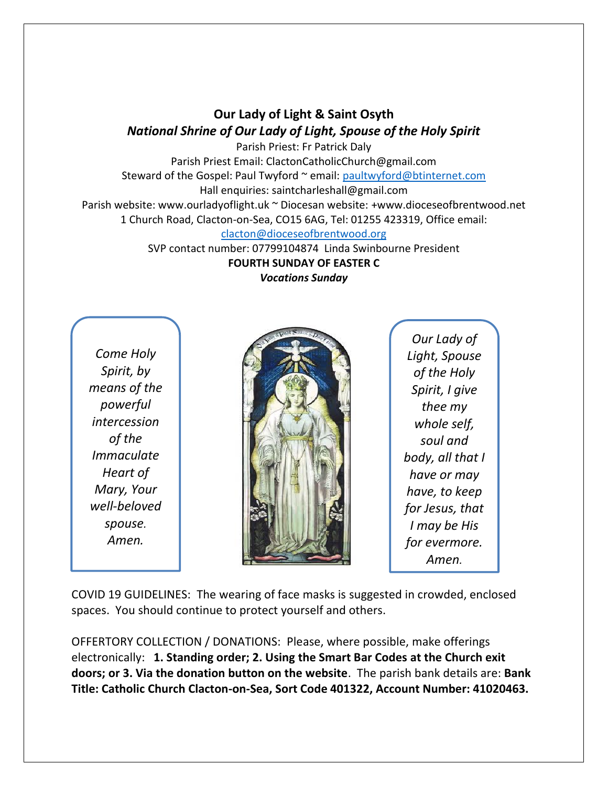## **Our Lady of Light & Saint Osyth** *National Shrine of Our Lady of Light, Spouse of the Holy Spirit*

Parish Priest: Fr Patrick Daly Parish Priest Email: ClactonCatholicChurch@gmail.com Steward of the Gospel: Paul Twyford ~ email: [paultwyford@btinternet.com](mailto:paultwyford@btinternet.com) Hall enquiries: saintcharleshall@gmail.com Parish website: www.ourladyoflight.uk ~ Diocesan website: +www.dioceseofbrentwood.net 1 Church Road, Clacton-on-Sea, CO15 6AG, Tel: 01255 423319, Office email: [clacton@dioceseofbrentwood.org](mailto:clacton@dioceseofbrentwood.org)

SVP contact number: 07799104874 Linda Swinbourne President **FOURTH SUNDAY OF EASTER C** *Vocations Sunday*

*Come Holy Spirit, by means of the powerful intercession of the Immaculate Heart of Mary, Your well-beloved spouse. Amen.*



*Our Lady of Light, Spouse of the Holy Spirit, I give thee my whole self, soul and body, all that I have or may have, to keep for Jesus, that I may be His for evermore. Amen.*

COVID 19 GUIDELINES: The wearing of face masks is suggested in crowded, enclosed spaces. You should continue to protect yourself and others.

OFFERTORY COLLECTION / DONATIONS: Please, where possible, make offerings electronically: **1. Standing order; 2. Using the Smart Bar Codes at the Church exit doors; or 3. Via the donation button on the website**. The parish bank details are: **Bank Title: Catholic Church Clacton-on-Sea, Sort Code 401322, Account Number: 41020463.**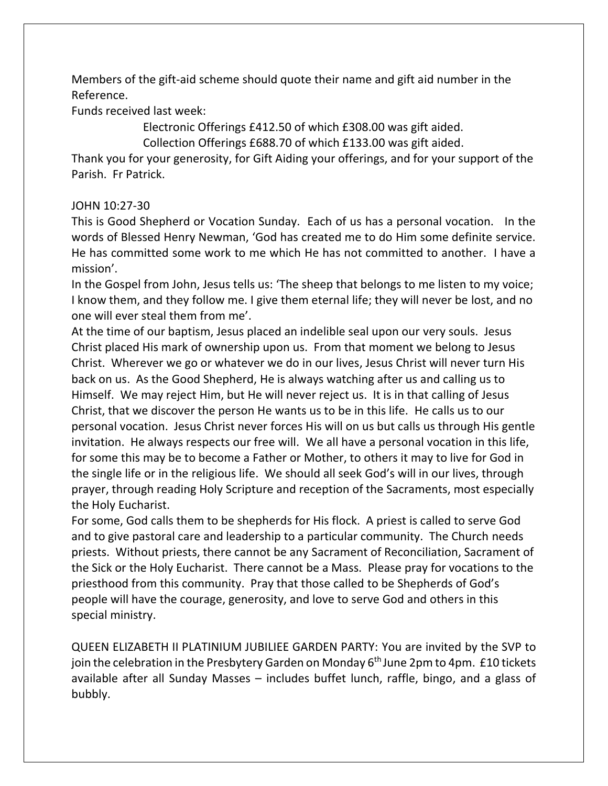Members of the gift-aid scheme should quote their name and gift aid number in the Reference.

Funds received last week:

Electronic Offerings £412.50 of which £308.00 was gift aided.

Collection Offerings £688.70 of which £133.00 was gift aided.

Thank you for your generosity, for Gift Aiding your offerings, and for your support of the Parish. Fr Patrick.

## JOHN 10:27-30

This is Good Shepherd or Vocation Sunday. Each of us has a personal vocation. In the words of Blessed Henry Newman, 'God has created me to do Him some definite service. He has committed some work to me which He has not committed to another. I have a mission'.

In the Gospel from John, Jesus tells us: 'The sheep that belongs to me listen to my voice; I know them, and they follow me. I give them eternal life; they will never be lost, and no one will ever steal them from me'.

At the time of our baptism, Jesus placed an indelible seal upon our very souls. Jesus Christ placed His mark of ownership upon us. From that moment we belong to Jesus Christ. Wherever we go or whatever we do in our lives, Jesus Christ will never turn His back on us. As the Good Shepherd, He is always watching after us and calling us to Himself. We may reject Him, but He will never reject us. It is in that calling of Jesus Christ, that we discover the person He wants us to be in this life. He calls us to our personal vocation. Jesus Christ never forces His will on us but calls us through His gentle invitation. He always respects our free will. We all have a personal vocation in this life, for some this may be to become a Father or Mother, to others it may to live for God in the single life or in the religious life. We should all seek God's will in our lives, through prayer, through reading Holy Scripture and reception of the Sacraments, most especially the Holy Eucharist.

For some, God calls them to be shepherds for His flock. A priest is called to serve God and to give pastoral care and leadership to a particular community. The Church needs priests. Without priests, there cannot be any Sacrament of Reconciliation, Sacrament of the Sick or the Holy Eucharist. There cannot be a Mass. Please pray for vocations to the priesthood from this community. Pray that those called to be Shepherds of God's people will have the courage, generosity, and love to serve God and others in this special ministry.

QUEEN ELIZABETH II PLATINIUM JUBILIEE GARDEN PARTY: You are invited by the SVP to join the celebration in the Presbytery Garden on Monday  $6<sup>th</sup>$  June 2pm to 4pm. £10 tickets available after all Sunday Masses – includes buffet lunch, raffle, bingo, and a glass of bubbly.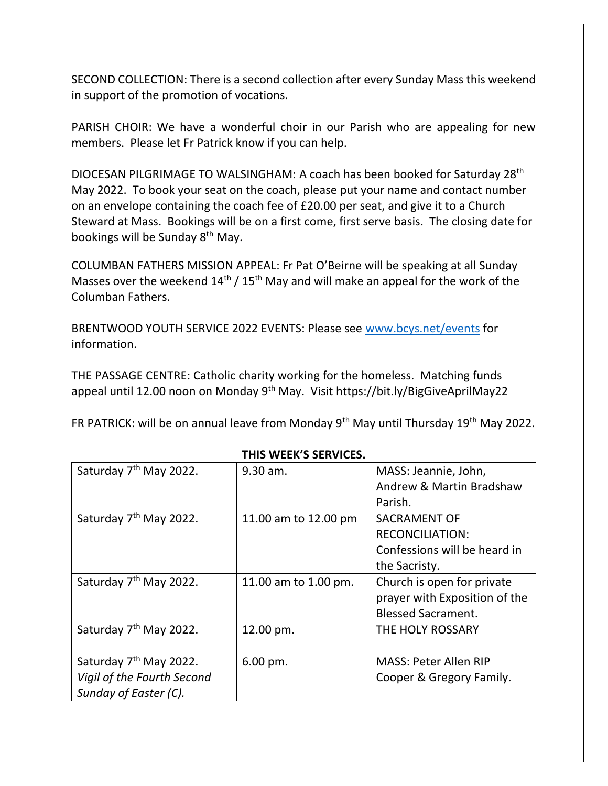SECOND COLLECTION: There is a second collection after every Sunday Mass this weekend in support of the promotion of vocations.

PARISH CHOIR: We have a wonderful choir in our Parish who are appealing for new members. Please let Fr Patrick know if you can help.

DIOCESAN PILGRIMAGE TO WALSINGHAM: A coach has been booked for Saturday 28th May 2022. To book your seat on the coach, please put your name and contact number on an envelope containing the coach fee of £20.00 per seat, and give it to a Church Steward at Mass. Bookings will be on a first come, first serve basis. The closing date for bookings will be Sunday 8<sup>th</sup> May.

COLUMBAN FATHERS MISSION APPEAL: Fr Pat O'Beirne will be speaking at all Sunday Masses over the weekend  $14<sup>th</sup>$  /  $15<sup>th</sup>$  May and will make an appeal for the work of the Columban Fathers.

BRENTWOOD YOUTH SERVICE 2022 EVENTS: Please see [www.bcys.net/events](http://www.bcys.net/events) for information.

THE PASSAGE CENTRE: Catholic charity working for the homeless. Matching funds appeal until 12.00 noon on Monday 9<sup>th</sup> May. Visit <https://bit.ly/BigGiveAprilMay22>

FR PATRICK: will be on annual leave from Monday 9<sup>th</sup> May until Thursday 19<sup>th</sup> May 2022.

| Saturday 7 <sup>th</sup> May 2022. | 9.30 am.             | MASS: Jeannie, John,          |
|------------------------------------|----------------------|-------------------------------|
|                                    |                      | Andrew & Martin Bradshaw      |
|                                    |                      | Parish.                       |
| Saturday 7 <sup>th</sup> May 2022. | 11.00 am to 12.00 pm | <b>SACRAMENT OF</b>           |
|                                    |                      | <b>RECONCILIATION:</b>        |
|                                    |                      | Confessions will be heard in  |
|                                    |                      | the Sacristy.                 |
| Saturday 7 <sup>th</sup> May 2022. | 11.00 am to 1.00 pm. | Church is open for private    |
|                                    |                      | prayer with Exposition of the |
|                                    |                      | <b>Blessed Sacrament.</b>     |
| Saturday 7 <sup>th</sup> May 2022. | 12.00 pm.            | THE HOLY ROSSARY              |
|                                    |                      |                               |
| Saturday 7 <sup>th</sup> May 2022. | 6.00 pm.             | <b>MASS: Peter Allen RIP</b>  |
| Vigil of the Fourth Second         |                      | Cooper & Gregory Family.      |
| Sunday of Easter (C).              |                      |                               |

## **THIS WEEK'S SERVICES.**